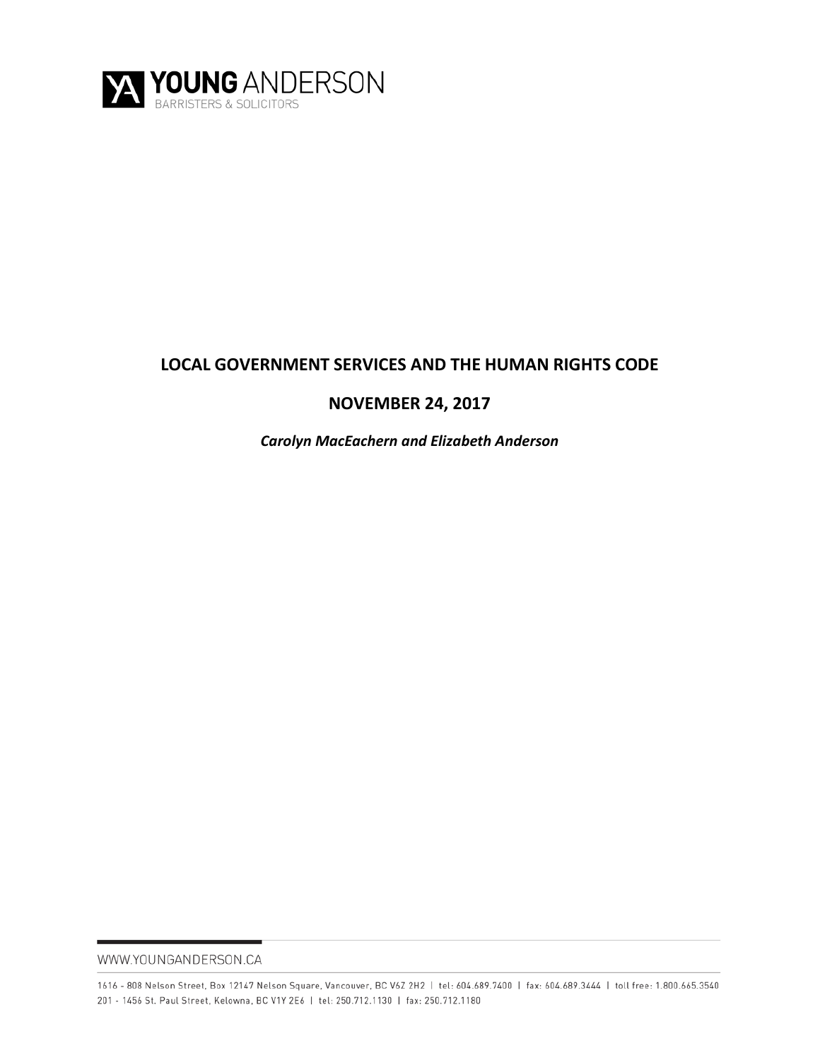

# **LOCAL GOVERNMENT SERVICES AND THE HUMAN RIGHTS CODE**

# **NOVEMBER 24, 2017**

*Carolyn MacEachern and Elizabeth Anderson*

WWW.YOUNGANDERSON.CA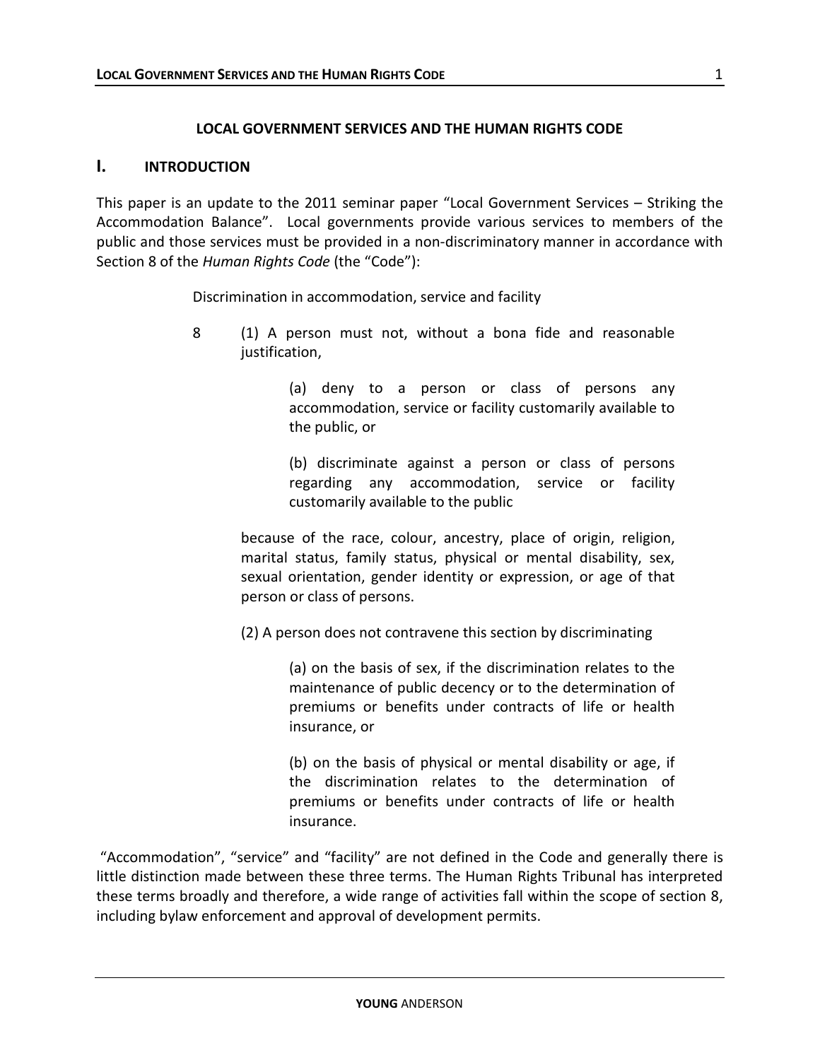#### **LOCAL GOVERNMENT SERVICES AND THE HUMAN RIGHTS CODE**

#### **I. INTRODUCTION**

This paper is an update to the 2011 seminar paper "Local Government Services – Striking the Accommodation Balance". Local governments provide various services to members of the public and those services must be provided in a non-discriminatory manner in accordance with Section 8 of the *Human Rights Code* (the "Code"):

Discrimination in accommodation, service and facility

8 (1) A person must not, without a bona fide and reasonable justification,

> (a) deny to a person or class of persons any accommodation, service or facility customarily available to the public, or

> (b) discriminate against a person or class of persons regarding any accommodation, service or facility customarily available to the public

because of the race, colour, ancestry, place of origin, religion, marital status, family status, physical or mental disability, sex, sexual orientation, gender identity or expression, or age of that person or class of persons.

(2) A person does not contravene this section by discriminating

(a) on the basis of sex, if the discrimination relates to the maintenance of public decency or to the determination of premiums or benefits under contracts of life or health insurance, or

(b) on the basis of physical or mental disability or age, if the discrimination relates to the determination of premiums or benefits under contracts of life or health insurance.

"Accommodation", "service" and "facility" are not defined in the Code and generally there is little distinction made between these three terms. The Human Rights Tribunal has interpreted these terms broadly and therefore, a wide range of activities fall within the scope of section 8, including bylaw enforcement and approval of development permits.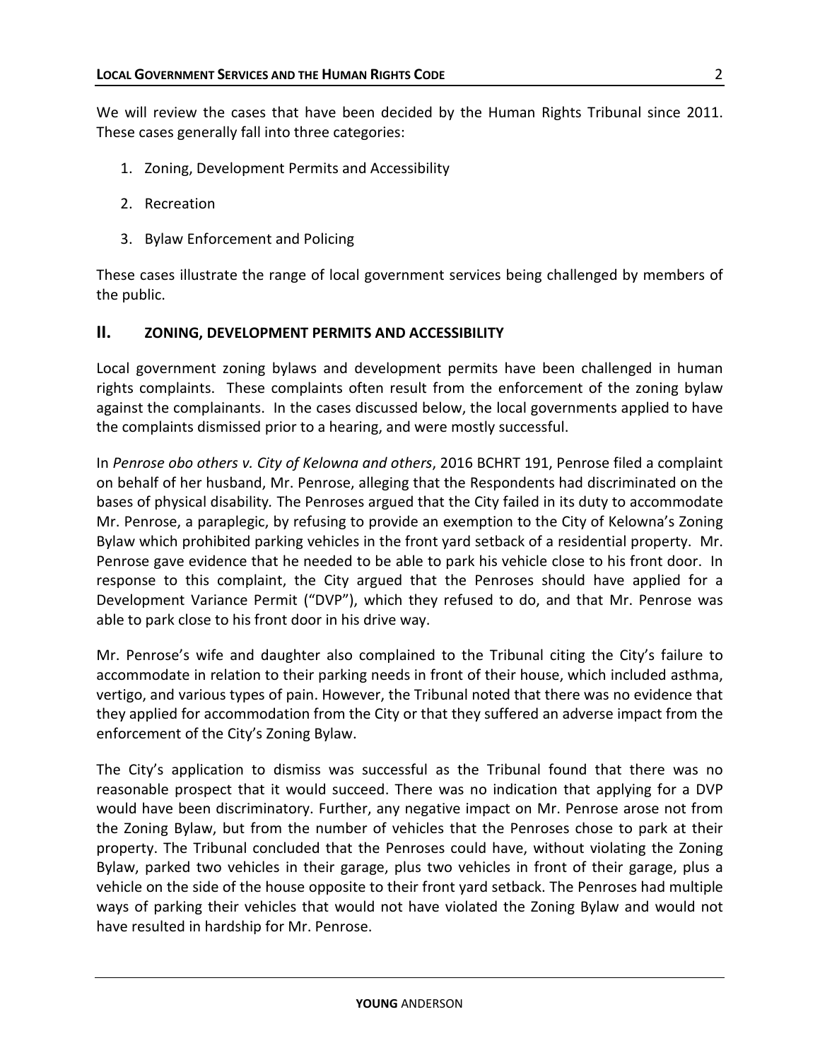We will review the cases that have been decided by the Human Rights Tribunal since 2011. These cases generally fall into three categories:

- 1. Zoning, Development Permits and Accessibility
- 2. Recreation
- 3. Bylaw Enforcement and Policing

These cases illustrate the range of local government services being challenged by members of the public.

### **II. ZONING, DEVELOPMENT PERMITS AND ACCESSIBILITY**

Local government zoning bylaws and development permits have been challenged in human rights complaints. These complaints often result from the enforcement of the zoning bylaw against the complainants. In the cases discussed below, the local governments applied to have the complaints dismissed prior to a hearing, and were mostly successful.

In *Penrose obo others v. City of Kelowna and others*, 2016 BCHRT 191, Penrose filed a complaint on behalf of her husband, Mr. Penrose, alleging that the Respondents had discriminated on the bases of physical disability*.* The Penroses argued that the City failed in its duty to accommodate Mr. Penrose, a paraplegic, by refusing to provide an exemption to the City of Kelowna's Zoning Bylaw which prohibited parking vehicles in the front yard setback of a residential property. Mr. Penrose gave evidence that he needed to be able to park his vehicle close to his front door. In response to this complaint, the City argued that the Penroses should have applied for a Development Variance Permit ("DVP"), which they refused to do, and that Mr. Penrose was able to park close to his front door in his drive way.

Mr. Penrose's wife and daughter also complained to the Tribunal citing the City's failure to accommodate in relation to their parking needs in front of their house, which included asthma, vertigo, and various types of pain. However, the Tribunal noted that there was no evidence that they applied for accommodation from the City or that they suffered an adverse impact from the enforcement of the City's Zoning Bylaw.

The City's application to dismiss was successful as the Tribunal found that there was no reasonable prospect that it would succeed. There was no indication that applying for a DVP would have been discriminatory. Further, any negative impact on Mr. Penrose arose not from the Zoning Bylaw, but from the number of vehicles that the Penroses chose to park at their property. The Tribunal concluded that the Penroses could have, without violating the Zoning Bylaw, parked two vehicles in their garage, plus two vehicles in front of their garage, plus a vehicle on the side of the house opposite to their front yard setback. The Penroses had multiple ways of parking their vehicles that would not have violated the Zoning Bylaw and would not have resulted in hardship for Mr. Penrose.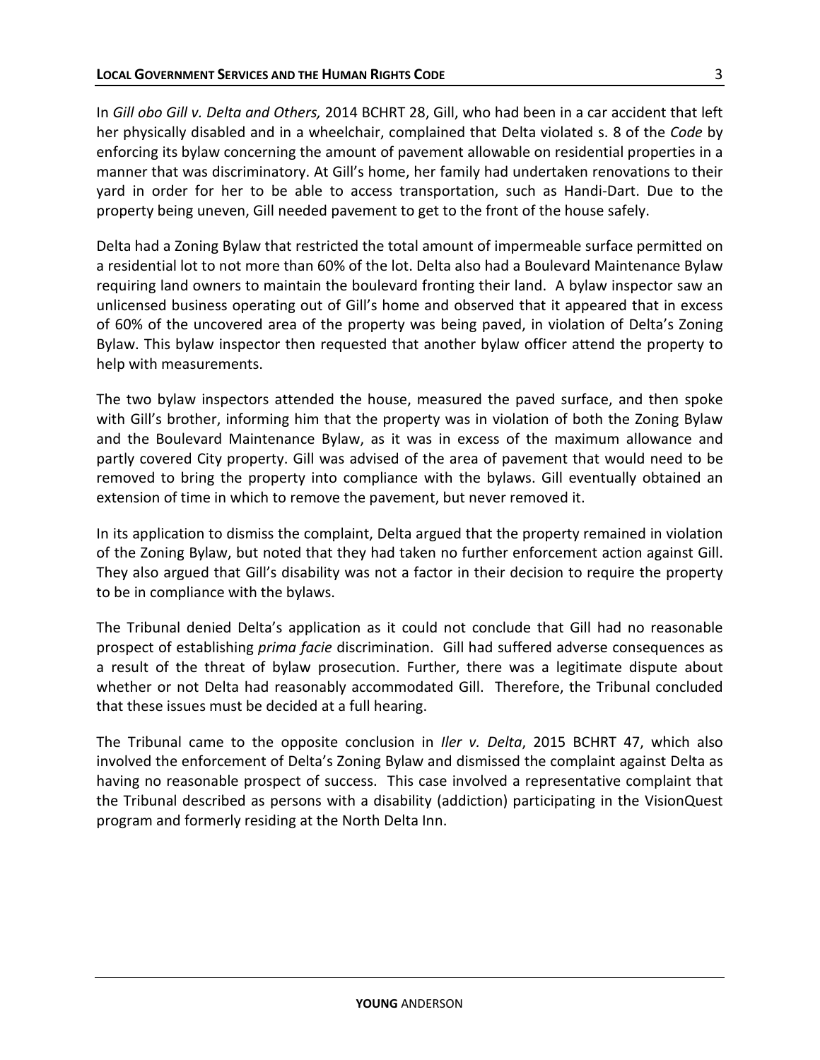In *Gill obo Gill v. Delta and Others,* 2014 BCHRT 28, Gill, who had been in a car accident that left her physically disabled and in a wheelchair, complained that Delta violated s. 8 of the *Code* by enforcing its bylaw concerning the amount of pavement allowable on residential properties in a manner that was discriminatory. At Gill's home, her family had undertaken renovations to their yard in order for her to be able to access transportation, such as Handi-Dart. Due to the property being uneven, Gill needed pavement to get to the front of the house safely.

Delta had a Zoning Bylaw that restricted the total amount of impermeable surface permitted on a residential lot to not more than 60% of the lot. Delta also had a Boulevard Maintenance Bylaw requiring land owners to maintain the boulevard fronting their land. A bylaw inspector saw an unlicensed business operating out of Gill's home and observed that it appeared that in excess of 60% of the uncovered area of the property was being paved, in violation of Delta's Zoning Bylaw. This bylaw inspector then requested that another bylaw officer attend the property to help with measurements.

The two bylaw inspectors attended the house, measured the paved surface, and then spoke with Gill's brother, informing him that the property was in violation of both the Zoning Bylaw and the Boulevard Maintenance Bylaw, as it was in excess of the maximum allowance and partly covered City property. Gill was advised of the area of pavement that would need to be removed to bring the property into compliance with the bylaws. Gill eventually obtained an extension of time in which to remove the pavement, but never removed it.

In its application to dismiss the complaint, Delta argued that the property remained in violation of the Zoning Bylaw, but noted that they had taken no further enforcement action against Gill. They also argued that Gill's disability was not a factor in their decision to require the property to be in compliance with the bylaws.

The Tribunal denied Delta's application as it could not conclude that Gill had no reasonable prospect of establishing *prima facie* discrimination. Gill had suffered adverse consequences as a result of the threat of bylaw prosecution. Further, there was a legitimate dispute about whether or not Delta had reasonably accommodated Gill. Therefore, the Tribunal concluded that these issues must be decided at a full hearing.

The Tribunal came to the opposite conclusion in *Iler v. Delta*, 2015 BCHRT 47, which also involved the enforcement of Delta's Zoning Bylaw and dismissed the complaint against Delta as having no reasonable prospect of success. This case involved a representative complaint that the Tribunal described as persons with a disability (addiction) participating in the VisionQuest program and formerly residing at the North Delta Inn.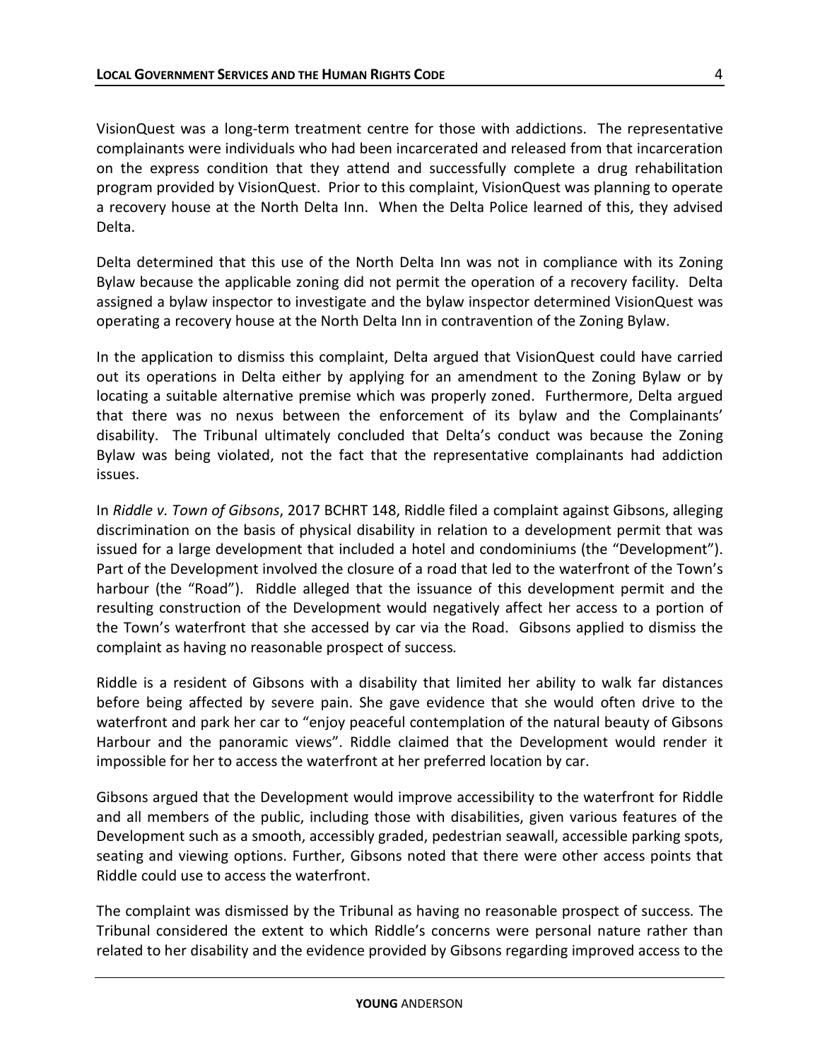VisionQuest was a long-term treatment centre for those with addictions. The representative complainants were individuals who had been incarcerated and released from that incarceration on the express condition that they attend and successfully complete a drug rehabilitation program provided by VisionQuest. Prior to this complaint, VisionQuest was planning to operate a recovery house at the North Delta Inn. When the Delta Police learned of this, they advised Delta.

Delta determined that this use of the North Delta Inn was not in compliance with its Zoning Bylaw because the applicable zoning did not permit the operation of a recovery facility. Delta assigned a bylaw inspector to investigate and the bylaw inspector determined VisionQuest was operating a recovery house at the North Delta Inn in contravention of the Zoning Bylaw.

In the application to dismiss this complaint, Delta argued that VisionQuest could have carried out its operations in Delta either by applying for an amendment to the Zoning Bylaw or by locating a suitable alternative premise which was properly zoned. Furthermore, Delta argued that there was no nexus between the enforcement of its bylaw and the Complainants' disability. The Tribunal ultimately concluded that Delta's conduct was because the Zoning Bylaw was being violated, not the fact that the representative complainants had addiction issues.

In *Riddle v. Town of Gibsons*, 2017 BCHRT 148, Riddle filed a complaint against Gibsons, alleging discrimination on the basis of physical disability in relation to a development permit that was issued for a large development that included a hotel and condominiums (the "Development"). Part of the Development involved the closure of a road that led to the waterfront of the Town's harbour (the "Road"). Riddle alleged that the issuance of this development permit and the resulting construction of the Development would negatively affect her access to a portion of the Town's waterfront that she accessed by car via the Road. Gibsons applied to dismiss the complaint as having no reasonable prospect of success*.* 

Riddle is a resident of Gibsons with a disability that limited her ability to walk far distances before being affected by severe pain. She gave evidence that she would often drive to the waterfront and park her car to "enjoy peaceful contemplation of the natural beauty of Gibsons Harbour and the panoramic views". Riddle claimed that the Development would render it impossible for her to access the waterfront at her preferred location by car.

Gibsons argued that the Development would improve accessibility to the waterfront for Riddle and all members of the public, including those with disabilities, given various features of the Development such as a smooth, accessibly graded, pedestrian seawall, accessible parking spots, seating and viewing options. Further, Gibsons noted that there were other access points that Riddle could use to access the waterfront.

The complaint was dismissed by the Tribunal as having no reasonable prospect of success*.* The Tribunal considered the extent to which Riddle's concerns were personal nature rather than related to her disability and the evidence provided by Gibsons regarding improved access to the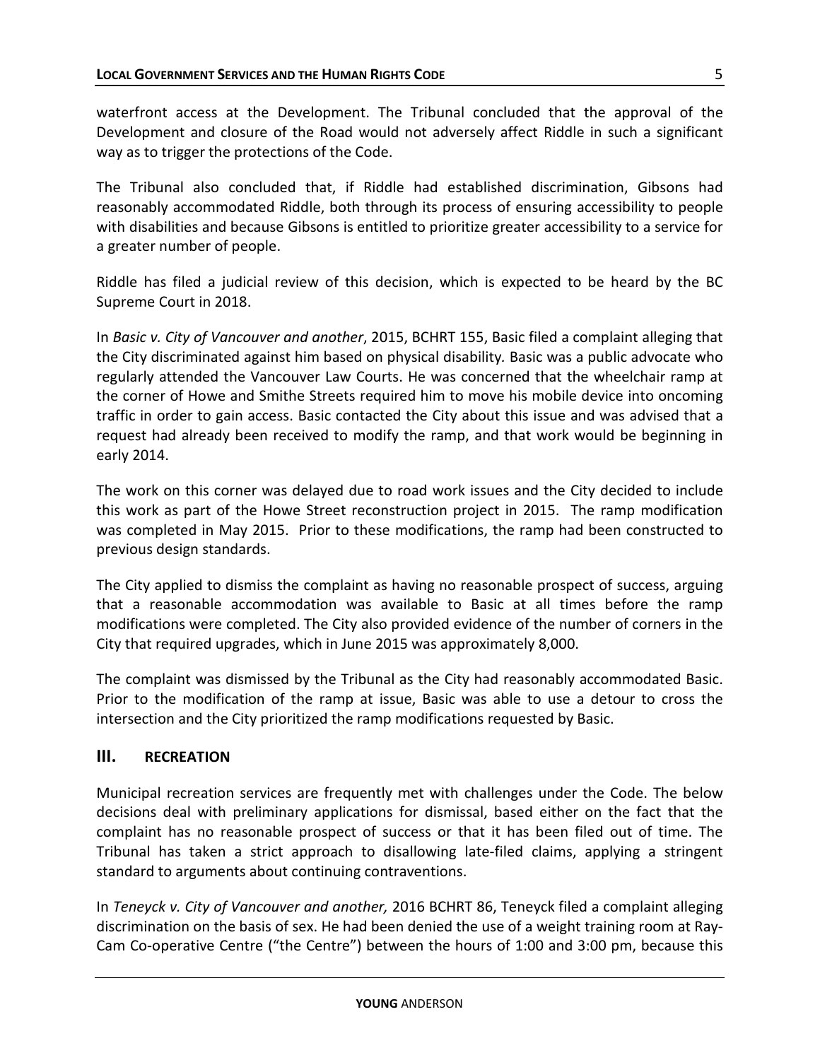waterfront access at the Development. The Tribunal concluded that the approval of the Development and closure of the Road would not adversely affect Riddle in such a significant way as to trigger the protections of the Code.

The Tribunal also concluded that, if Riddle had established discrimination, Gibsons had reasonably accommodated Riddle, both through its process of ensuring accessibility to people with disabilities and because Gibsons is entitled to prioritize greater accessibility to a service for a greater number of people.

Riddle has filed a judicial review of this decision, which is expected to be heard by the BC Supreme Court in 2018.

In *Basic v. City of Vancouver and another*, 2015, BCHRT 155, Basic filed a complaint alleging that the City discriminated against him based on physical disability*.* Basic was a public advocate who regularly attended the Vancouver Law Courts. He was concerned that the wheelchair ramp at the corner of Howe and Smithe Streets required him to move his mobile device into oncoming traffic in order to gain access. Basic contacted the City about this issue and was advised that a request had already been received to modify the ramp, and that work would be beginning in early 2014.

The work on this corner was delayed due to road work issues and the City decided to include this work as part of the Howe Street reconstruction project in 2015. The ramp modification was completed in May 2015. Prior to these modifications, the ramp had been constructed to previous design standards.

The City applied to dismiss the complaint as having no reasonable prospect of success, arguing that a reasonable accommodation was available to Basic at all times before the ramp modifications were completed. The City also provided evidence of the number of corners in the City that required upgrades, which in June 2015 was approximately 8,000.

The complaint was dismissed by the Tribunal as the City had reasonably accommodated Basic. Prior to the modification of the ramp at issue, Basic was able to use a detour to cross the intersection and the City prioritized the ramp modifications requested by Basic.

## **III. RECREATION**

Municipal recreation services are frequently met with challenges under the Code. The below decisions deal with preliminary applications for dismissal, based either on the fact that the complaint has no reasonable prospect of success or that it has been filed out of time. The Tribunal has taken a strict approach to disallowing late-filed claims, applying a stringent standard to arguments about continuing contraventions.

In *Teneyck v. City of Vancouver and another,* 2016 BCHRT 86, Teneyck filed a complaint alleging discrimination on the basis of sex. He had been denied the use of a weight training room at Ray-Cam Co-operative Centre ("the Centre") between the hours of 1:00 and 3:00 pm, because this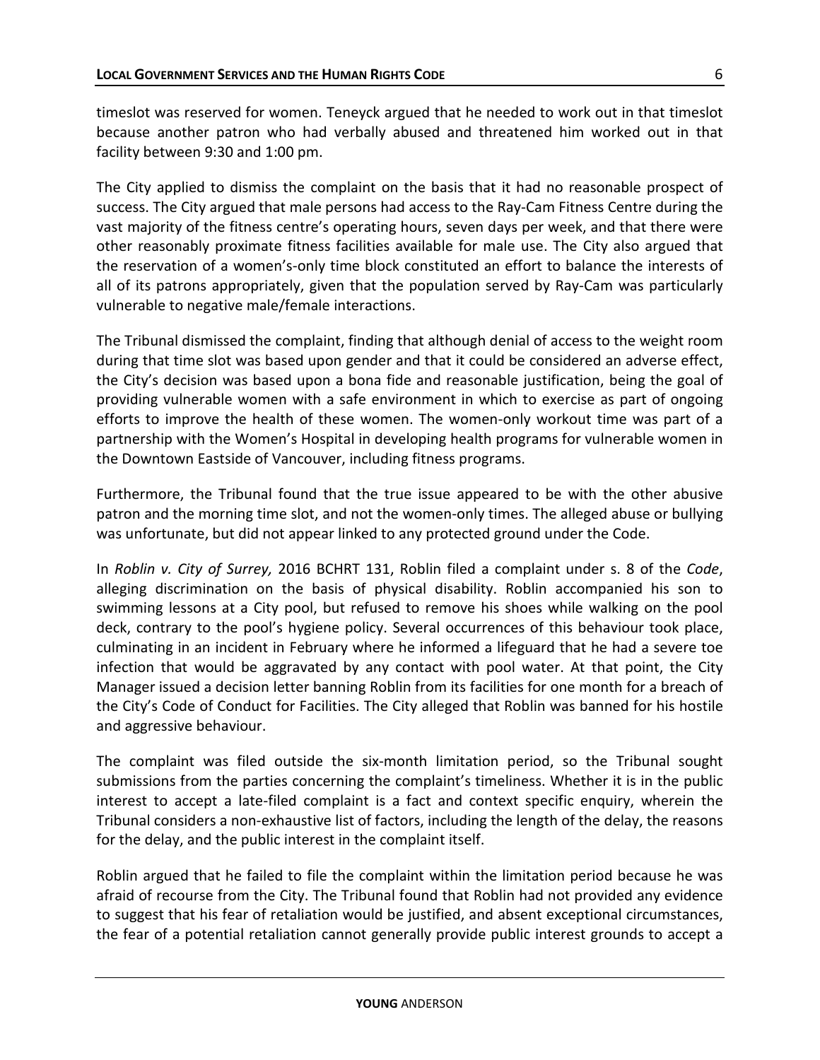timeslot was reserved for women. Teneyck argued that he needed to work out in that timeslot because another patron who had verbally abused and threatened him worked out in that facility between 9:30 and 1:00 pm.

The City applied to dismiss the complaint on the basis that it had no reasonable prospect of success. The City argued that male persons had access to the Ray-Cam Fitness Centre during the vast majority of the fitness centre's operating hours, seven days per week, and that there were other reasonably proximate fitness facilities available for male use. The City also argued that the reservation of a women's-only time block constituted an effort to balance the interests of all of its patrons appropriately, given that the population served by Ray-Cam was particularly vulnerable to negative male/female interactions.

The Tribunal dismissed the complaint, finding that although denial of access to the weight room during that time slot was based upon gender and that it could be considered an adverse effect, the City's decision was based upon a bona fide and reasonable justification, being the goal of providing vulnerable women with a safe environment in which to exercise as part of ongoing efforts to improve the health of these women. The women-only workout time was part of a partnership with the Women's Hospital in developing health programs for vulnerable women in the Downtown Eastside of Vancouver, including fitness programs.

Furthermore, the Tribunal found that the true issue appeared to be with the other abusive patron and the morning time slot, and not the women-only times. The alleged abuse or bullying was unfortunate, but did not appear linked to any protected ground under the Code.

In *Roblin v. City of Surrey,* 2016 BCHRT 131, Roblin filed a complaint under s. 8 of the *Code*, alleging discrimination on the basis of physical disability. Roblin accompanied his son to swimming lessons at a City pool, but refused to remove his shoes while walking on the pool deck, contrary to the pool's hygiene policy. Several occurrences of this behaviour took place, culminating in an incident in February where he informed a lifeguard that he had a severe toe infection that would be aggravated by any contact with pool water. At that point, the City Manager issued a decision letter banning Roblin from its facilities for one month for a breach of the City's Code of Conduct for Facilities. The City alleged that Roblin was banned for his hostile and aggressive behaviour.

The complaint was filed outside the six-month limitation period, so the Tribunal sought submissions from the parties concerning the complaint's timeliness. Whether it is in the public interest to accept a late-filed complaint is a fact and context specific enquiry, wherein the Tribunal considers a non-exhaustive list of factors, including the length of the delay, the reasons for the delay, and the public interest in the complaint itself.

Roblin argued that he failed to file the complaint within the limitation period because he was afraid of recourse from the City. The Tribunal found that Roblin had not provided any evidence to suggest that his fear of retaliation would be justified, and absent exceptional circumstances, the fear of a potential retaliation cannot generally provide public interest grounds to accept a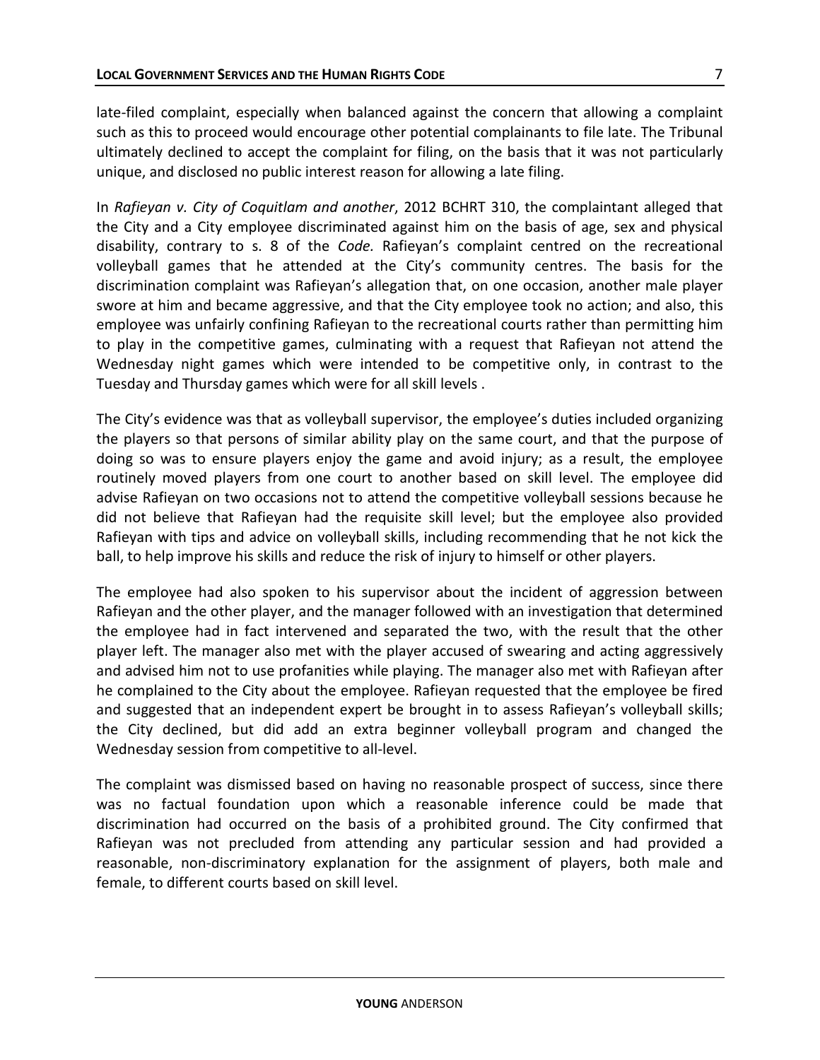late-filed complaint, especially when balanced against the concern that allowing a complaint such as this to proceed would encourage other potential complainants to file late. The Tribunal ultimately declined to accept the complaint for filing, on the basis that it was not particularly unique, and disclosed no public interest reason for allowing a late filing.

In *Rafieyan v. City of Coquitlam and another*, 2012 BCHRT 310, the complaintant alleged that the City and a City employee discriminated against him on the basis of age, sex and physical disability, contrary to s. 8 of the *Code.* Rafieyan's complaint centred on the recreational volleyball games that he attended at the City's community centres. The basis for the discrimination complaint was Rafieyan's allegation that, on one occasion, another male player swore at him and became aggressive, and that the City employee took no action; and also, this employee was unfairly confining Rafieyan to the recreational courts rather than permitting him to play in the competitive games, culminating with a request that Rafieyan not attend the Wednesday night games which were intended to be competitive only, in contrast to the Tuesday and Thursday games which were for all skill levels .

The City's evidence was that as volleyball supervisor, the employee's duties included organizing the players so that persons of similar ability play on the same court, and that the purpose of doing so was to ensure players enjoy the game and avoid injury; as a result, the employee routinely moved players from one court to another based on skill level. The employee did advise Rafieyan on two occasions not to attend the competitive volleyball sessions because he did not believe that Rafieyan had the requisite skill level; but the employee also provided Rafieyan with tips and advice on volleyball skills, including recommending that he not kick the ball, to help improve his skills and reduce the risk of injury to himself or other players.

The employee had also spoken to his supervisor about the incident of aggression between Rafieyan and the other player, and the manager followed with an investigation that determined the employee had in fact intervened and separated the two, with the result that the other player left. The manager also met with the player accused of swearing and acting aggressively and advised him not to use profanities while playing. The manager also met with Rafieyan after he complained to the City about the employee. Rafieyan requested that the employee be fired and suggested that an independent expert be brought in to assess Rafieyan's volleyball skills; the City declined, but did add an extra beginner volleyball program and changed the Wednesday session from competitive to all-level.

The complaint was dismissed based on having no reasonable prospect of success, since there was no factual foundation upon which a reasonable inference could be made that discrimination had occurred on the basis of a prohibited ground. The City confirmed that Rafieyan was not precluded from attending any particular session and had provided a reasonable, non-discriminatory explanation for the assignment of players, both male and female, to different courts based on skill level.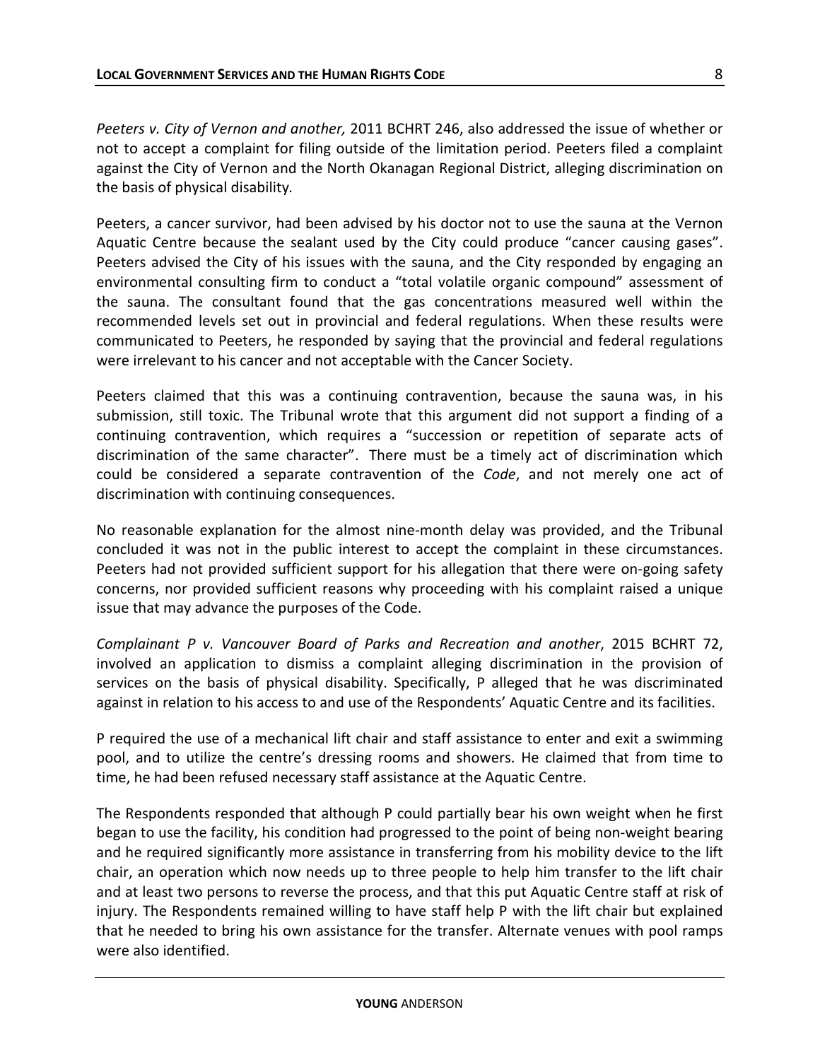*Peeters v. City of Vernon and another,* 2011 BCHRT 246, also addressed the issue of whether or not to accept a complaint for filing outside of the limitation period. Peeters filed a complaint against the City of Vernon and the North Okanagan Regional District, alleging discrimination on the basis of physical disability*.* 

Peeters, a cancer survivor, had been advised by his doctor not to use the sauna at the Vernon Aquatic Centre because the sealant used by the City could produce "cancer causing gases". Peeters advised the City of his issues with the sauna, and the City responded by engaging an environmental consulting firm to conduct a "total volatile organic compound" assessment of the sauna. The consultant found that the gas concentrations measured well within the recommended levels set out in provincial and federal regulations. When these results were communicated to Peeters, he responded by saying that the provincial and federal regulations were irrelevant to his cancer and not acceptable with the Cancer Society.

Peeters claimed that this was a continuing contravention, because the sauna was, in his submission, still toxic. The Tribunal wrote that this argument did not support a finding of a continuing contravention, which requires a "succession or repetition of separate acts of discrimination of the same character". There must be a timely act of discrimination which could be considered a separate contravention of the *Code*, and not merely one act of discrimination with continuing consequences.

No reasonable explanation for the almost nine-month delay was provided, and the Tribunal concluded it was not in the public interest to accept the complaint in these circumstances. Peeters had not provided sufficient support for his allegation that there were on-going safety concerns, nor provided sufficient reasons why proceeding with his complaint raised a unique issue that may advance the purposes of the Code.

*Complainant P v. Vancouver Board of Parks and Recreation and another*, 2015 BCHRT 72, involved an application to dismiss a complaint alleging discrimination in the provision of services on the basis of physical disability. Specifically, P alleged that he was discriminated against in relation to his access to and use of the Respondents' Aquatic Centre and its facilities.

P required the use of a mechanical lift chair and staff assistance to enter and exit a swimming pool, and to utilize the centre's dressing rooms and showers. He claimed that from time to time, he had been refused necessary staff assistance at the Aquatic Centre.

The Respondents responded that although P could partially bear his own weight when he first began to use the facility, his condition had progressed to the point of being non-weight bearing and he required significantly more assistance in transferring from his mobility device to the lift chair, an operation which now needs up to three people to help him transfer to the lift chair and at least two persons to reverse the process, and that this put Aquatic Centre staff at risk of injury. The Respondents remained willing to have staff help P with the lift chair but explained that he needed to bring his own assistance for the transfer. Alternate venues with pool ramps were also identified.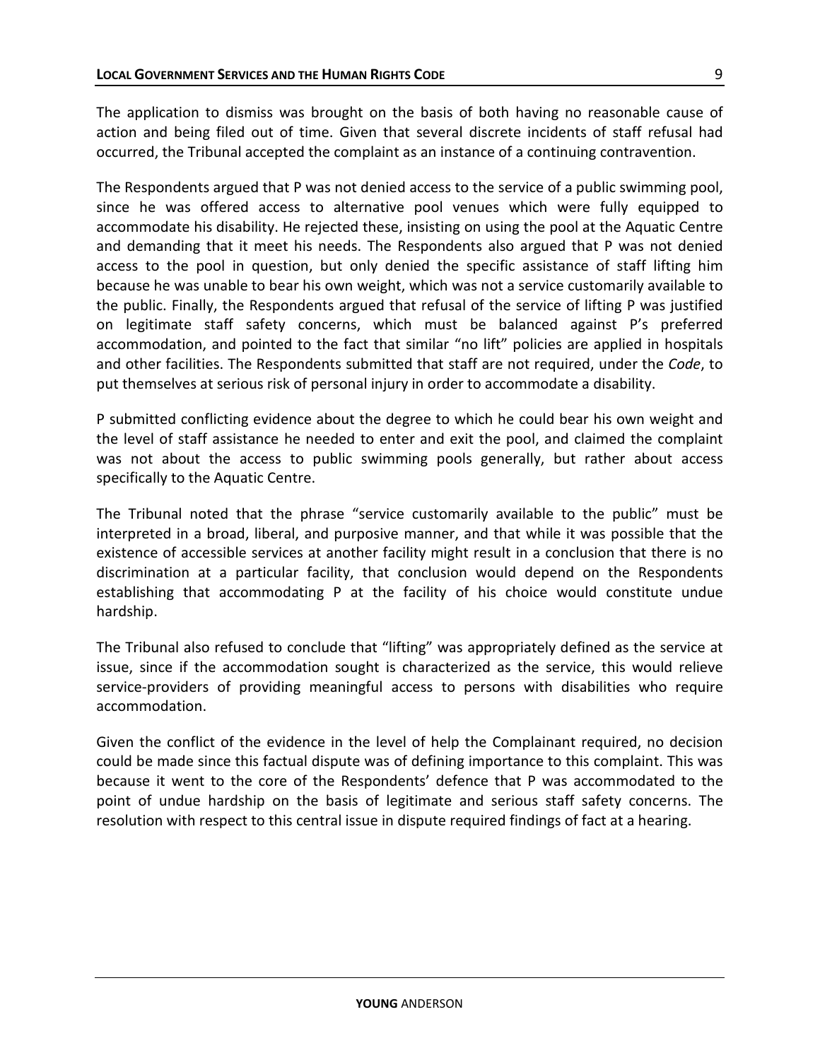The application to dismiss was brought on the basis of both having no reasonable cause of action and being filed out of time. Given that several discrete incidents of staff refusal had occurred, the Tribunal accepted the complaint as an instance of a continuing contravention.

The Respondents argued that P was not denied access to the service of a public swimming pool, since he was offered access to alternative pool venues which were fully equipped to accommodate his disability. He rejected these, insisting on using the pool at the Aquatic Centre and demanding that it meet his needs. The Respondents also argued that P was not denied access to the pool in question, but only denied the specific assistance of staff lifting him because he was unable to bear his own weight, which was not a service customarily available to the public. Finally, the Respondents argued that refusal of the service of lifting P was justified on legitimate staff safety concerns, which must be balanced against P's preferred accommodation, and pointed to the fact that similar "no lift" policies are applied in hospitals and other facilities. The Respondents submitted that staff are not required, under the *Code*, to put themselves at serious risk of personal injury in order to accommodate a disability.

P submitted conflicting evidence about the degree to which he could bear his own weight and the level of staff assistance he needed to enter and exit the pool, and claimed the complaint was not about the access to public swimming pools generally, but rather about access specifically to the Aquatic Centre.

The Tribunal noted that the phrase "service customarily available to the public" must be interpreted in a broad, liberal, and purposive manner, and that while it was possible that the existence of accessible services at another facility might result in a conclusion that there is no discrimination at a particular facility, that conclusion would depend on the Respondents establishing that accommodating P at the facility of his choice would constitute undue hardship.

The Tribunal also refused to conclude that "lifting" was appropriately defined as the service at issue, since if the accommodation sought is characterized as the service, this would relieve service-providers of providing meaningful access to persons with disabilities who require accommodation.

Given the conflict of the evidence in the level of help the Complainant required, no decision could be made since this factual dispute was of defining importance to this complaint. This was because it went to the core of the Respondents' defence that P was accommodated to the point of undue hardship on the basis of legitimate and serious staff safety concerns. The resolution with respect to this central issue in dispute required findings of fact at a hearing.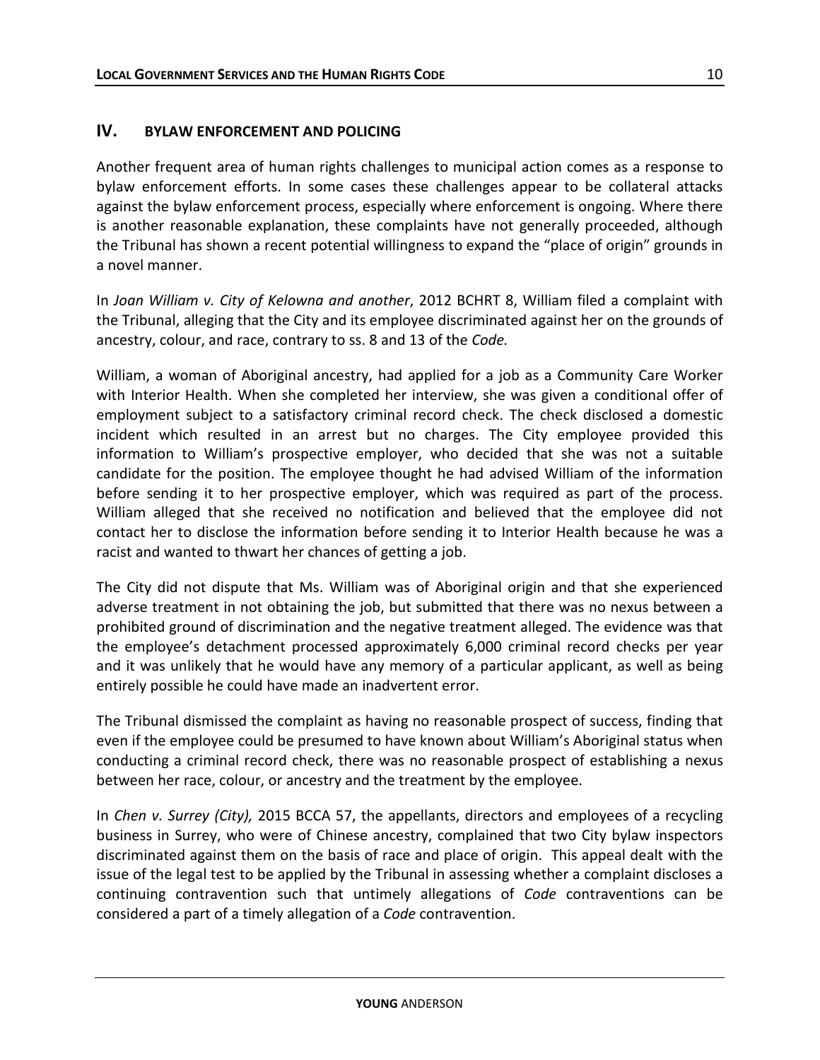## **IV. BYLAW ENFORCEMENT AND POLICING**

Another frequent area of human rights challenges to municipal action comes as a response to bylaw enforcement efforts. In some cases these challenges appear to be collateral attacks against the bylaw enforcement process, especially where enforcement is ongoing. Where there is another reasonable explanation, these complaints have not generally proceeded, although the Tribunal has shown a recent potential willingness to expand the "place of origin" grounds in a novel manner.

In *Joan William v. City of Kelowna and another*, 2012 BCHRT 8, William filed a complaint with the Tribunal, alleging that the City and its employee discriminated against her on the grounds of ancestry, colour, and race, contrary to ss. 8 and 13 of the *Code.*

William, a woman of Aboriginal ancestry, had applied for a job as a Community Care Worker with Interior Health. When she completed her interview, she was given a conditional offer of employment subject to a satisfactory criminal record check. The check disclosed a domestic incident which resulted in an arrest but no charges. The City employee provided this information to William's prospective employer, who decided that she was not a suitable candidate for the position. The employee thought he had advised William of the information before sending it to her prospective employer, which was required as part of the process. William alleged that she received no notification and believed that the employee did not contact her to disclose the information before sending it to Interior Health because he was a racist and wanted to thwart her chances of getting a job.

The City did not dispute that Ms. William was of Aboriginal origin and that she experienced adverse treatment in not obtaining the job, but submitted that there was no nexus between a prohibited ground of discrimination and the negative treatment alleged. The evidence was that the employee's detachment processed approximately 6,000 criminal record checks per year and it was unlikely that he would have any memory of a particular applicant, as well as being entirely possible he could have made an inadvertent error.

The Tribunal dismissed the complaint as having no reasonable prospect of success, finding that even if the employee could be presumed to have known about William's Aboriginal status when conducting a criminal record check, there was no reasonable prospect of establishing a nexus between her race, colour, or ancestry and the treatment by the employee.

In *Chen v. Surrey (City),* 2015 BCCA 57, the appellants, directors and employees of a recycling business in Surrey, who were of Chinese ancestry, complained that two City bylaw inspectors discriminated against them on the basis of race and place of origin. This appeal dealt with the issue of the legal test to be applied by the Tribunal in assessing whether a complaint discloses a continuing contravention such that untimely allegations of *Code* contraventions can be considered a part of a timely allegation of a *Code* contravention.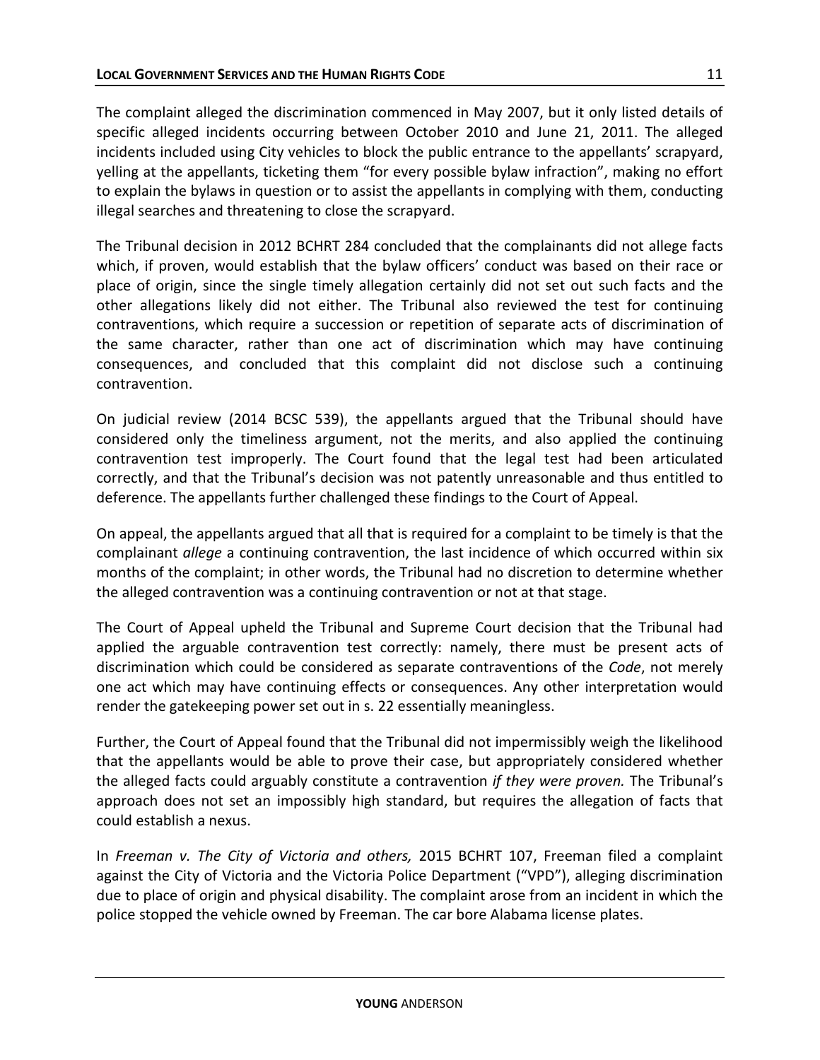The complaint alleged the discrimination commenced in May 2007, but it only listed details of specific alleged incidents occurring between October 2010 and June 21, 2011. The alleged incidents included using City vehicles to block the public entrance to the appellants' scrapyard, yelling at the appellants, ticketing them "for every possible bylaw infraction", making no effort to explain the bylaws in question or to assist the appellants in complying with them, conducting illegal searches and threatening to close the scrapyard.

The Tribunal decision in 2012 BCHRT 284 concluded that the complainants did not allege facts which, if proven, would establish that the bylaw officers' conduct was based on their race or place of origin, since the single timely allegation certainly did not set out such facts and the other allegations likely did not either. The Tribunal also reviewed the test for continuing contraventions, which require a succession or repetition of separate acts of discrimination of the same character, rather than one act of discrimination which may have continuing consequences, and concluded that this complaint did not disclose such a continuing contravention.

On judicial review (2014 BCSC 539), the appellants argued that the Tribunal should have considered only the timeliness argument, not the merits, and also applied the continuing contravention test improperly. The Court found that the legal test had been articulated correctly, and that the Tribunal's decision was not patently unreasonable and thus entitled to deference. The appellants further challenged these findings to the Court of Appeal.

On appeal, the appellants argued that all that is required for a complaint to be timely is that the complainant *allege* a continuing contravention, the last incidence of which occurred within six months of the complaint; in other words, the Tribunal had no discretion to determine whether the alleged contravention was a continuing contravention or not at that stage.

The Court of Appeal upheld the Tribunal and Supreme Court decision that the Tribunal had applied the arguable contravention test correctly: namely, there must be present acts of discrimination which could be considered as separate contraventions of the *Code*, not merely one act which may have continuing effects or consequences. Any other interpretation would render the gatekeeping power set out in s. 22 essentially meaningless.

Further, the Court of Appeal found that the Tribunal did not impermissibly weigh the likelihood that the appellants would be able to prove their case, but appropriately considered whether the alleged facts could arguably constitute a contravention *if they were proven.* The Tribunal's approach does not set an impossibly high standard, but requires the allegation of facts that could establish a nexus.

In *Freeman v. The City of Victoria and others,* 2015 BCHRT 107, Freeman filed a complaint against the City of Victoria and the Victoria Police Department ("VPD"), alleging discrimination due to place of origin and physical disability. The complaint arose from an incident in which the police stopped the vehicle owned by Freeman. The car bore Alabama license plates.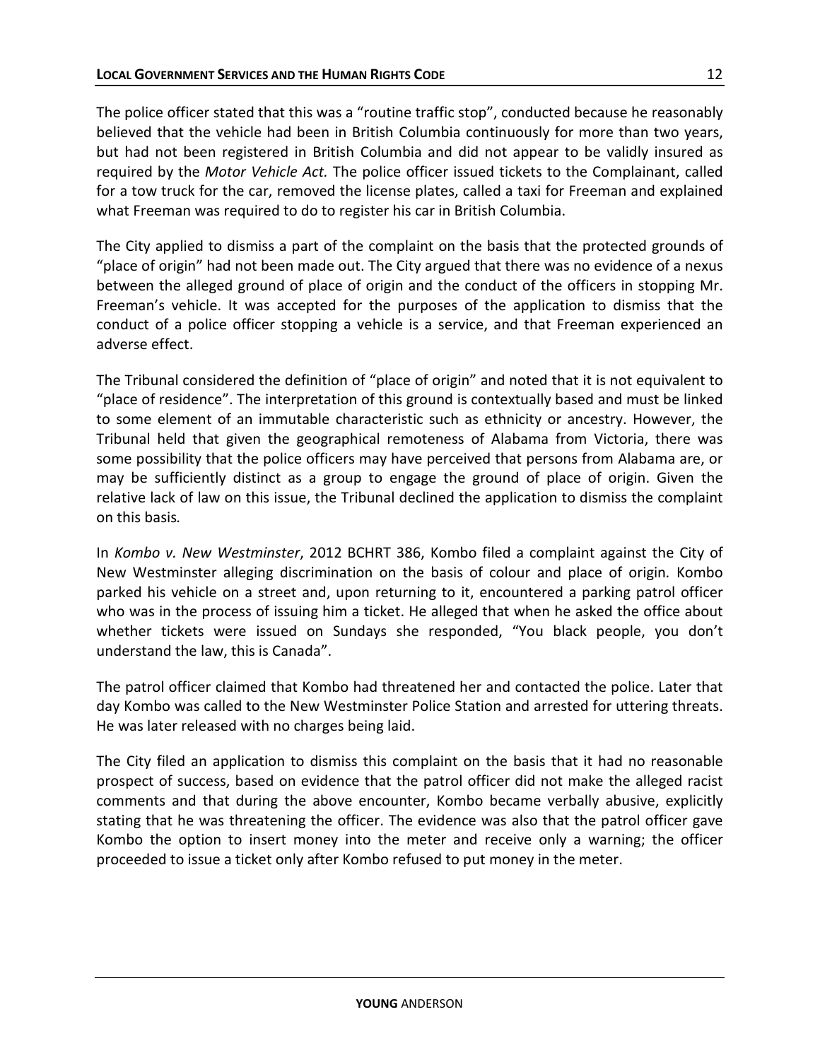The police officer stated that this was a "routine traffic stop", conducted because he reasonably believed that the vehicle had been in British Columbia continuously for more than two years, but had not been registered in British Columbia and did not appear to be validly insured as required by the *Motor Vehicle Act.* The police officer issued tickets to the Complainant, called for a tow truck for the car, removed the license plates, called a taxi for Freeman and explained what Freeman was required to do to register his car in British Columbia.

The City applied to dismiss a part of the complaint on the basis that the protected grounds of "place of origin" had not been made out. The City argued that there was no evidence of a nexus between the alleged ground of place of origin and the conduct of the officers in stopping Mr. Freeman's vehicle. It was accepted for the purposes of the application to dismiss that the conduct of a police officer stopping a vehicle is a service, and that Freeman experienced an adverse effect.

The Tribunal considered the definition of "place of origin" and noted that it is not equivalent to "place of residence". The interpretation of this ground is contextually based and must be linked to some element of an immutable characteristic such as ethnicity or ancestry. However, the Tribunal held that given the geographical remoteness of Alabama from Victoria, there was some possibility that the police officers may have perceived that persons from Alabama are, or may be sufficiently distinct as a group to engage the ground of place of origin. Given the relative lack of law on this issue, the Tribunal declined the application to dismiss the complaint on this basis*.* 

In *Kombo v. New Westminster*, 2012 BCHRT 386, Kombo filed a complaint against the City of New Westminster alleging discrimination on the basis of colour and place of origin*.* Kombo parked his vehicle on a street and, upon returning to it, encountered a parking patrol officer who was in the process of issuing him a ticket. He alleged that when he asked the office about whether tickets were issued on Sundays she responded, "You black people, you don't understand the law, this is Canada".

The patrol officer claimed that Kombo had threatened her and contacted the police. Later that day Kombo was called to the New Westminster Police Station and arrested for uttering threats. He was later released with no charges being laid.

The City filed an application to dismiss this complaint on the basis that it had no reasonable prospect of success, based on evidence that the patrol officer did not make the alleged racist comments and that during the above encounter, Kombo became verbally abusive, explicitly stating that he was threatening the officer. The evidence was also that the patrol officer gave Kombo the option to insert money into the meter and receive only a warning; the officer proceeded to issue a ticket only after Kombo refused to put money in the meter.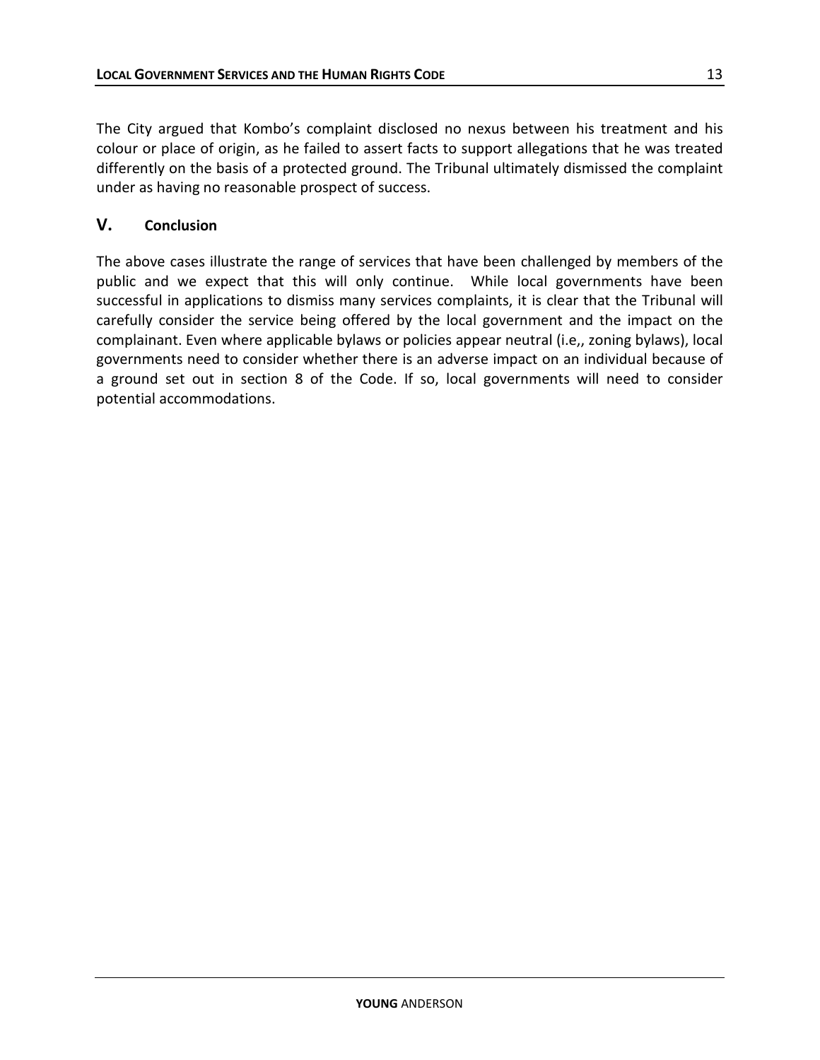The City argued that Kombo's complaint disclosed no nexus between his treatment and his colour or place of origin, as he failed to assert facts to support allegations that he was treated differently on the basis of a protected ground. The Tribunal ultimately dismissed the complaint under as having no reasonable prospect of success.

### **V. Conclusion**

The above cases illustrate the range of services that have been challenged by members of the public and we expect that this will only continue. While local governments have been successful in applications to dismiss many services complaints, it is clear that the Tribunal will carefully consider the service being offered by the local government and the impact on the complainant. Even where applicable bylaws or policies appear neutral (i.e,, zoning bylaws), local governments need to consider whether there is an adverse impact on an individual because of a ground set out in section 8 of the Code. If so, local governments will need to consider potential accommodations.